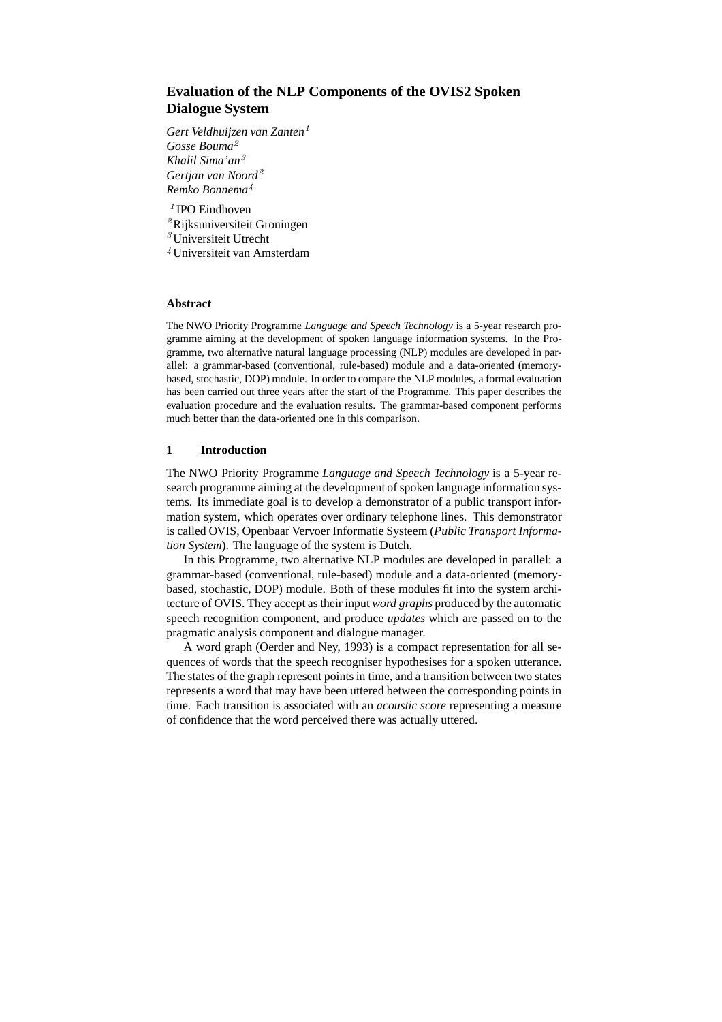# **Evaluation of the NLP Components of the OVIS2 Spoken Dialogue System**

*Gert Veldhuijzen van Zanten*<sup>1</sup> *Gosse Bouma*<sup>2</sup> *Khalil Sima'an*<sup>3</sup> *Gertjan van Noord* 2 *Remko Bonnema*<sup>4</sup>

<sup>1</sup> IPO Eindhoven Rijksuniversiteit Groningen Universiteit Utrecht Universiteit van Amsterdam

#### **Abstract**

The NWO Priority Programme *Language and Speech Technology* is a 5-year research programme aiming at the development of spoken language information systems. In the Programme, two alternative natural language processing (NLP) modules are developed in parallel: a grammar-based (conventional, rule-based) module and a data-oriented (memorybased, stochastic, DOP) module. In order to compare the NLP modules, a formal evaluation has been carried out three years after the start of the Programme. This paper describes the evaluation procedure and the evaluation results. The grammar-based component performs much better than the data-oriented one in this comparison.

## **1 Introduction**

The NWO Priority Programme *Language and Speech Technology* is a 5-year research programme aiming at the development of spoken language information systems. Its immediate goal is to develop a demonstrator of a public transport information system, which operates over ordinary telephone lines. This demonstrator is called OVIS, Openbaar Vervoer Informatie Systeem (*Public Transport Information System*). The language of the system is Dutch.

In this Programme, two alternative NLP modules are developed in parallel: a grammar-based (conventional, rule-based) module and a data-oriented (memorybased, stochastic, DOP) module. Both of these modules fit into the system architecture of OVIS. They accept as their input *word graphs* produced by the automatic speech recognition component, and produce *updates* which are passed on to the pragmatic analysis component and dialogue manager.

A word graph (Oerder and Ney, 1993) is a compact representation for all sequences of words that the speech recogniser hypothesises for a spoken utterance. The states of the graph represent points in time, and a transition between two states represents a word that may have been uttered between the corresponding points in time. Each transition is associated with an *acoustic score* representing a measure of confidence that the word perceived there was actually uttered.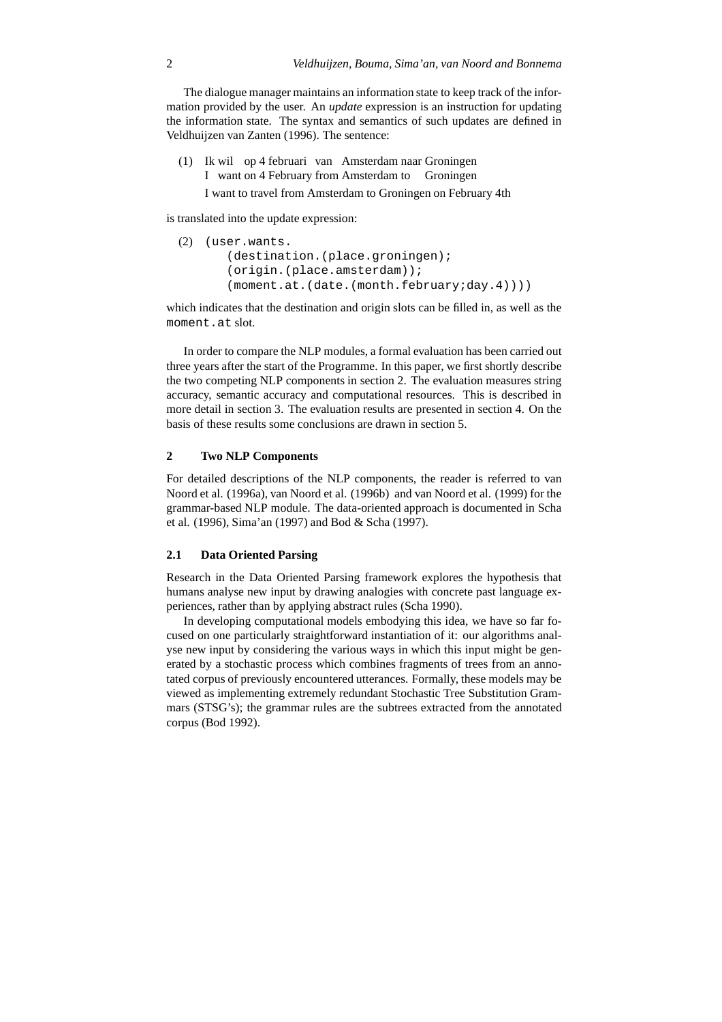The dialogue manager maintains an information state to keep track of the information provided by the user. An *update* expression is an instruction for updating the information state. The syntax and semantics of such updates are defined in Veldhuijzen van Zanten (1996). The sentence:

(1) Ik wil op 4 februari van Amsterdam naar Groningen I want on 4 February from Amsterdam to Groningen

I want to travel from Amsterdam to Groningen on February 4th

is translated into the update expression:

```
(2) (user.wants.
       (destination.(place.groningen);
       (origin.(place.amsterdam));
       (moment.at.(date.(month.february;day.4))))
```
which indicates that the destination and origin slots can be filled in, as well as the moment.at slot.

In order to compare the NLP modules, a formal evaluation has been carried out three years after the start of the Programme. In this paper, we first shortly describe the two competing NLP components in section 2. The evaluation measures string accuracy, semantic accuracy and computational resources. This is described in more detail in section 3. The evaluation results are presented in section 4. On the basis of these results some conclusions are drawn in section 5.

## **2 Two NLP Components**

For detailed descriptions of the NLP components, the reader is referred to van Noord et al. (1996a), van Noord et al. (1996b) and van Noord et al. (1999) for the grammar-based NLP module. The data-oriented approach is documented in Scha et al. (1996), Sima'an (1997) and Bod & Scha (1997).

#### **2.1 Data Oriented Parsing**

Research in the Data Oriented Parsing framework explores the hypothesis that humans analyse new input by drawing analogies with concrete past language experiences, rather than by applying abstract rules (Scha 1990).

In developing computational models embodying this idea, we have so far focused on one particularly straightforward instantiation of it: our algorithms analyse new input by considering the various ways in which this input might be generated by a stochastic process which combines fragments of trees from an annotated corpus of previously encountered utterances. Formally, these models may be viewed as implementing extremely redundant Stochastic Tree Substitution Grammars (STSG's); the grammar rules are the subtrees extracted from the annotated corpus (Bod 1992).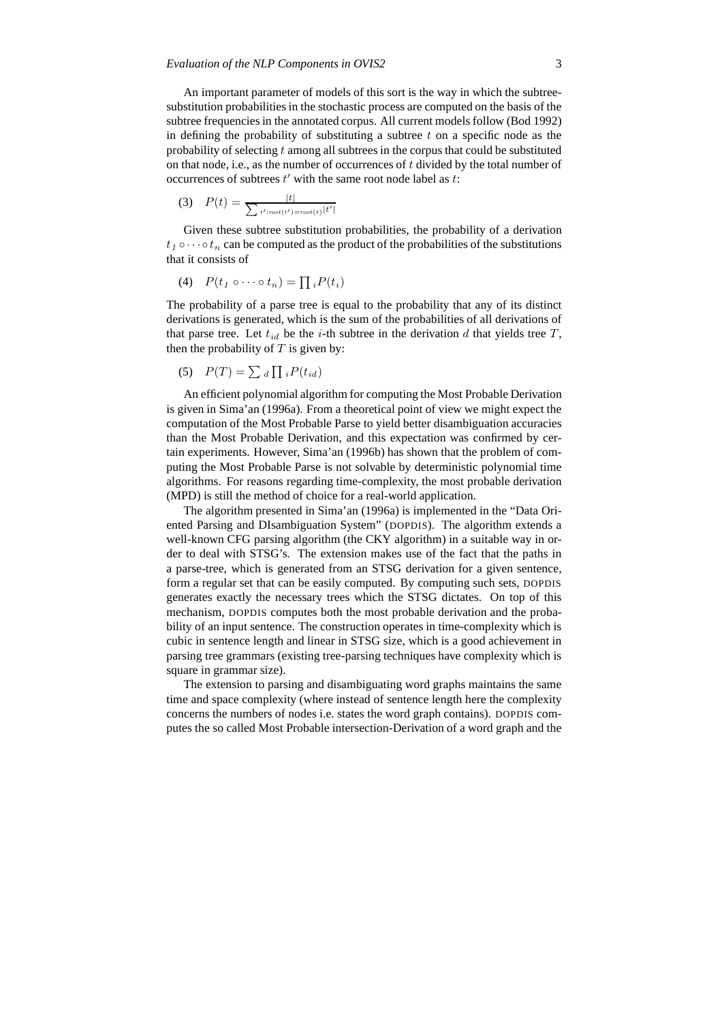An important parameter of models of this sort is the way in which the subtreesubstitution probabilities in the stochastic process are computed on the basis of the subtree frequencies in the annotated corpus. All current models follow (Bod 1992) in defining the probability of substituting a subtree  $t$  on a specific node as the probability of selecting  $t$  among all subtrees in the corpus that could be substituted on that node, i.e., as the number of occurrences of t divided by the total number of occurrences of subtrees  $t'$  with the same root node label as  $t$ :

(3) 
$$
P(t) = \frac{|t|}{\sum_{t':root(t') = root(t)} |t'|}
$$

Given these subtree substitution probabilities, the probability of a derivation  $t_1 \circ \cdots \circ t_n$  can be computed as the product of the probabilities of the substitutions that it consists of

$$
(4) \quad P(t_1 \circ \cdots \circ t_n) = \prod_i P(t_i)
$$

The probability of a parse tree is equal to the probability that any of its distinct derivations is generated, which is the sum of the probabilities of all derivations of that parse tree. Let  $t_{id}$  be the *i*-th subtree in the derivation  $d$  that yields tree  $T$ , then the probability of  $T$  is given by:

$$
(5) \quad P(T) = \sum_{d} \prod_{i} P(t_{id})
$$

An efficient polynomial algorithm for computing the Most Probable Derivation is given in Sima'an (1996a). From a theoretical point of view we might expect the computation of the Most Probable Parse to yield better disambiguation accuracies than the Most Probable Derivation, and this expectation was confirmed by certain experiments. However, Sima'an (1996b) has shown that the problem of computing the Most Probable Parse is not solvable by deterministic polynomial time algorithms. For reasons regarding time-complexity, the most probable derivation (MPD) is still the method of choice for a real-world application.

The algorithm presented in Sima'an (1996a) is implemented in the "Data Oriented Parsing and DIsambiguation System" (DOPDIS). The algorithm extends a well-known CFG parsing algorithm (the CKY algorithm) in a suitable way in order to deal with STSG's. The extension makes use of the fact that the paths in a parse-tree, which is generated from an STSG derivation for a given sentence, form a regular set that can be easily computed. By computing such sets, DOPDIS generates exactly the necessary trees which the STSG dictates. On top of this mechanism, DOPDIS computes both the most probable derivation and the probability of an input sentence. The construction operates in time-complexity which is cubic in sentence length and linear in STSG size, which is a good achievement in parsing tree grammars (existing tree-parsing techniques have complexity which is square in grammar size).

The extension to parsing and disambiguating word graphs maintains the same time and space complexity (where instead of sentence length here the complexity concerns the numbers of nodes i.e. states the word graph contains). DOPDIS computes the so called Most Probable intersection-Derivation of a word graph and the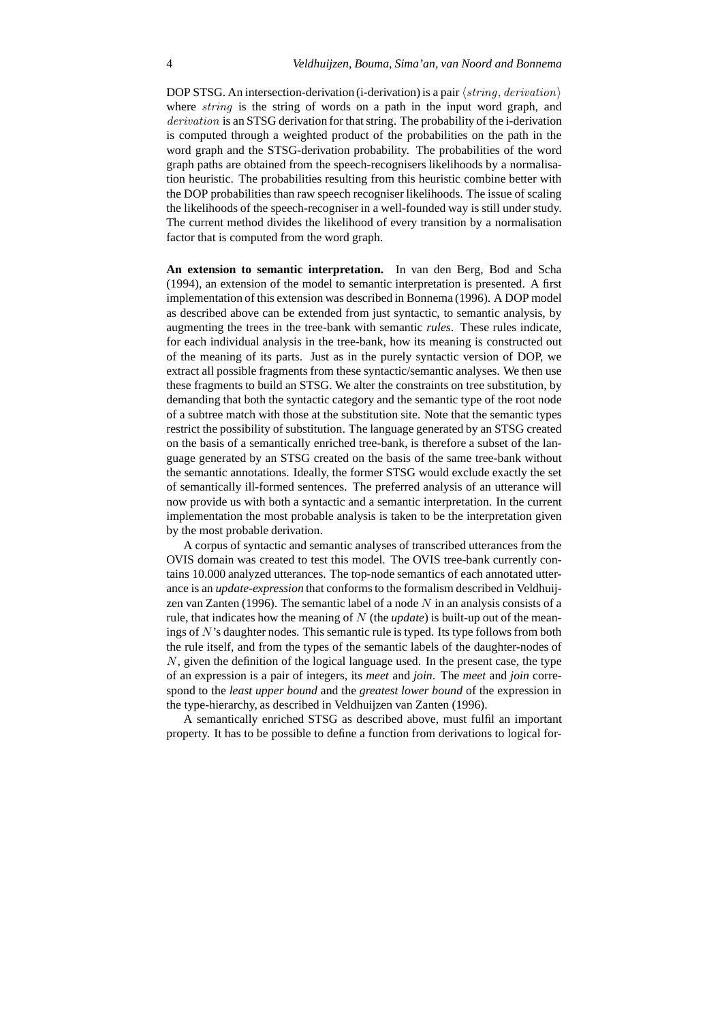DOP STSG. An intersection-derivation (i-derivation) is a pair  $\langle string, derivation \rangle$ where *string* is the string of words on a path in the input word graph, and derivation is an STSG derivation for that string. The probability of the *i*-derivation is computed through a weighted product of the probabilities on the path in the word graph and the STSG-derivation probability. The probabilities of the word graph paths are obtained from the speech-recognisers likelihoods by a normalisation heuristic. The probabilities resulting from this heuristic combine better with the DOP probabilities than raw speech recogniser likelihoods. The issue of scaling the likelihoods of the speech-recogniser in a well-founded way is still under study. The current method divides the likelihood of every transition by a normalisation factor that is computed from the word graph.

**An extension to semantic interpretation.** In van den Berg, Bod and Scha (1994), an extension of the model to semantic interpretation is presented. A first implementation of this extension was described in Bonnema (1996). A DOP model as described above can be extended from just syntactic, to semantic analysis, by augmenting the trees in the tree-bank with semantic *rules*. These rules indicate, for each individual analysis in the tree-bank, how its meaning is constructed out of the meaning of its parts. Just as in the purely syntactic version of DOP, we extract all possible fragments from these syntactic/semantic analyses. We then use these fragments to build an STSG. We alter the constraints on tree substitution, by demanding that both the syntactic category and the semantic type of the root node of a subtree match with those at the substitution site. Note that the semantic types restrict the possibility of substitution. The language generated by an STSG created on the basis of a semantically enriched tree-bank, is therefore a subset of the language generated by an STSG created on the basis of the same tree-bank without the semantic annotations. Ideally, the former STSG would exclude exactly the set of semantically ill-formed sentences. The preferred analysis of an utterance will now provide us with both a syntactic and a semantic interpretation. In the current implementation the most probable analysis is taken to be the interpretation given by the most probable derivation.

A corpus of syntactic and semantic analyses of transcribed utterances from the OVIS domain was created to test this model. The OVIS tree-bank currently contains 10.000 analyzed utterances. The top-node semantics of each annotated utterance is an *update-expression* that conformsto the formalism described in Veldhuijzen van Zanten (1996). The semantic label of a node  $N$  in an analysis consists of a rule, that indicates how the meaning of N (the *update*) is built-up out of the meanings of N's daughter nodes. This semantic rule is typed. Its type follows from both the rule itself, and from the types of the semantic labels of the daughter-nodes of N, given the definition of the logical language used. In the present case, the type of an expression is a pair of integers, its *meet* and *join*. The *meet* and *join* correspond to the *least upper bound* and the *greatest lower bound* of the expression in the type-hierarchy, as described in Veldhuijzen van Zanten (1996).

A semantically enriched STSG as described above, must fulfil an important property. It has to be possible to define a function from derivations to logical for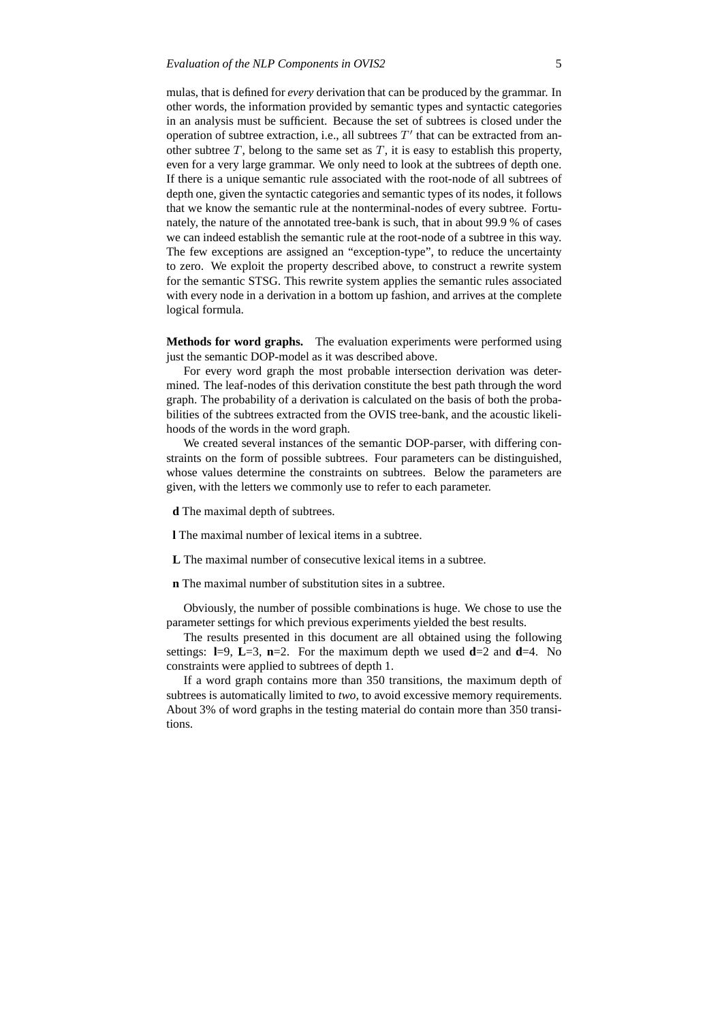mulas, that is defined for *every* derivation that can be produced by the grammar. In other words, the information provided by semantic types and syntactic categories in an analysis must be sufficient. Because the set of subtrees is closed under the operation of subtree extraction, i.e., all subtrees  $T'$  that can be extracted from another subtree  $T$ , belong to the same set as  $T$ , it is easy to establish this property, even for a very large grammar. We only need to look at the subtrees of depth one. If there is a unique semantic rule associated with the root-node of all subtrees of depth one, given the syntactic categories and semantic types of its nodes, it follows that we know the semantic rule at the nonterminal-nodes of every subtree. Fortunately, the nature of the annotated tree-bank is such, that in about 99.9 % of cases we can indeed establish the semantic rule at the root-node of a subtree in this way. The few exceptions are assigned an "exception-type", to reduce the uncertainty to zero. We exploit the property described above, to construct a rewrite system for the semantic STSG. This rewrite system applies the semantic rules associated with every node in a derivation in a bottom up fashion, and arrives at the complete logical formula.

**Methods for word graphs.** The evaluation experiments were performed using just the semantic DOP-model as it was described above.

For every word graph the most probable intersection derivation was determined. The leaf-nodes of this derivation constitute the best path through the word graph. The probability of a derivation is calculated on the basis of both the probabilities of the subtrees extracted from the OVIS tree-bank, and the acoustic likelihoods of the words in the word graph.

We created several instances of the semantic DOP-parser, with differing constraints on the form of possible subtrees. Four parameters can be distinguished, whose values determine the constraints on subtrees. Below the parameters are given, with the letters we commonly use to refer to each parameter.

**d** The maximal depth of subtrees.

**l** The maximal number of lexical items in a subtree.

**L** The maximal number of consecutive lexical items in a subtree.

**n** The maximal number of substitution sites in a subtree.

Obviously, the number of possible combinations is huge. We chose to use the parameter settings for which previous experiments yielded the best results.

The results presented in this document are all obtained using the following settings:  $l=9$ ,  $L=3$ ,  $n=2$ . For the maximum depth we used  $d=2$  and  $d=4$ . No constraints were applied to subtrees of depth 1.

If a word graph contains more than 350 transitions, the maximum depth of subtrees is automatically limited to *two*, to avoid excessive memory requirements. About 3% of word graphs in the testing material do contain more than 350 transitions.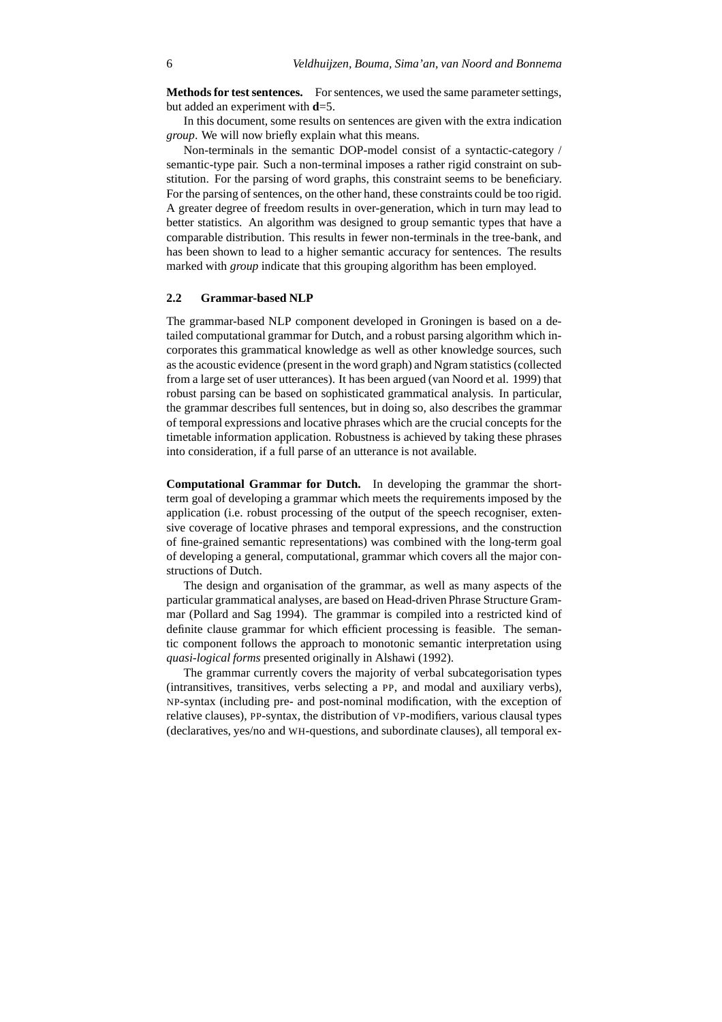**Methods** for test sentences. For sentences, we used the same parameter settings, but added an experiment with **d**=5.

In this document, some results on sentences are given with the extra indication *group*. We will now briefly explain what this means.

Non-terminals in the semantic DOP-model consist of a syntactic-category / semantic-type pair. Such a non-terminal imposes a rather rigid constraint on substitution. For the parsing of word graphs, this constraint seems to be beneficiary. For the parsing of sentences, on the other hand, these constraints could be too rigid. A greater degree of freedom results in over-generation, which in turn may lead to better statistics. An algorithm was designed to group semantic types that have a comparable distribution. This results in fewer non-terminals in the tree-bank, and has been shown to lead to a higher semantic accuracy for sentences. The results marked with *group* indicate that this grouping algorithm has been employed.

## **2.2 Grammar-based NLP**

The grammar-based NLP component developed in Groningen is based on a detailed computational grammar for Dutch, and a robust parsing algorithm which incorporates this grammatical knowledge as well as other knowledge sources, such as the acoustic evidence (present in the word graph) and Ngram statistics (collected from a large set of user utterances). It has been argued (van Noord et al. 1999) that robust parsing can be based on sophisticated grammatical analysis. In particular, the grammar describes full sentences, but in doing so, also describes the grammar of temporal expressions and locative phrases which are the crucial concepts for the timetable information application. Robustness is achieved by taking these phrases into consideration, if a full parse of an utterance is not available.

**Computational Grammar for Dutch.** In developing the grammar the shortterm goal of developing a grammar which meets the requirements imposed by the application (i.e. robust processing of the output of the speech recogniser, extensive coverage of locative phrases and temporal expressions, and the construction of fine-grained semantic representations) was combined with the long-term goal of developing a general, computational, grammar which covers all the major constructions of Dutch.

The design and organisation of the grammar, as well as many aspects of the particular grammatical analyses, are based on Head-driven Phrase Structure Grammar (Pollard and Sag 1994). The grammar is compiled into a restricted kind of definite clause grammar for which efficient processing is feasible. The semantic component follows the approach to monotonic semantic interpretation using *quasi-logical forms* presented originally in Alshawi (1992).

The grammar currently covers the majority of verbal subcategorisation types (intransitives, transitives, verbs selecting a PP, and modal and auxiliary verbs), NP-syntax (including pre- and post-nominal modification, with the exception of relative clauses), PP-syntax, the distribution of VP-modifiers, various clausal types (declaratives, yes/no and WH-questions, and subordinate clauses), all temporal ex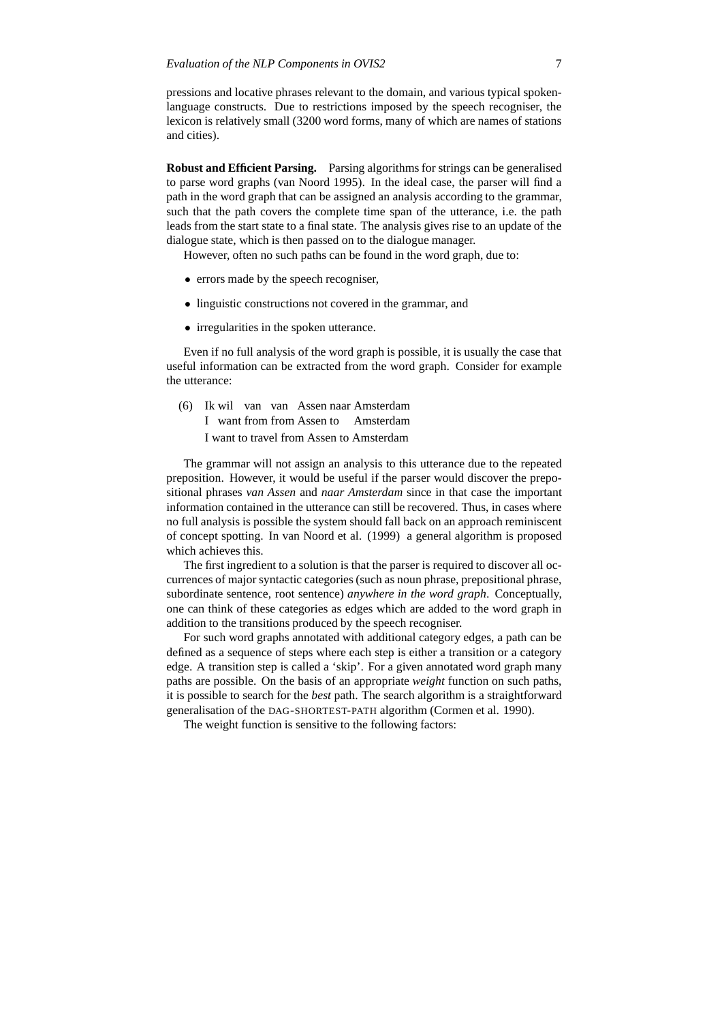pressions and locative phrases relevant to the domain, and various typical spokenlanguage constructs. Due to restrictions imposed by the speech recogniser, the lexicon is relatively small (3200 word forms, many of which are names of stations and cities).

**Robust and Efficient Parsing.** Parsing algorithms for strings can be generalised to parse word graphs (van Noord 1995). In the ideal case, the parser will find a path in the word graph that can be assigned an analysis according to the grammar, such that the path covers the complete time span of the utterance, i.e. the path leads from the start state to a final state. The analysis gives rise to an update of the dialogue state, which is then passed on to the dialogue manager.

However, often no such paths can be found in the word graph, due to:

- errors made by the speech recogniser,
- linguistic constructions not covered in the grammar, and
- irregularities in the spoken utterance.

Even if no full analysis of the word graph is possible, it is usually the case that useful information can be extracted from the word graph. Consider for example the utterance:

(6) Ik wil van van Assen naar Amsterdam I want from from Assen to Amsterdam I want to travel from Assen to Amsterdam

The grammar will not assign an analysis to this utterance due to the repeated preposition. However, it would be useful if the parser would discover the prepositional phrases *van Assen* and *naar Amsterdam* since in that case the important information contained in the utterance can still be recovered. Thus, in cases where no full analysis is possible the system should fall back on an approach reminiscent of concept spotting. In van Noord et al. (1999) a general algorithm is proposed which achieves this.

The first ingredient to a solution is that the parser is required to discover all occurrences of major syntactic categories (such as noun phrase, prepositional phrase, subordinate sentence, root sentence) *anywhere in the word graph*. Conceptually, one can think of these categories as edges which are added to the word graph in addition to the transitions produced by the speech recogniser.

For such word graphs annotated with additional category edges, a path can be defined as a sequence of steps where each step is either a transition or a category edge. A transition step is called a 'skip'. For a given annotated word graph many paths are possible. On the basis of an appropriate *weight* function on such paths, it is possible to search for the *best* path. The search algorithm is a straightforward generalisation of the DAG-SHORTEST-PATH algorithm (Cormen et al. 1990).

The weight function is sensitive to the following factors: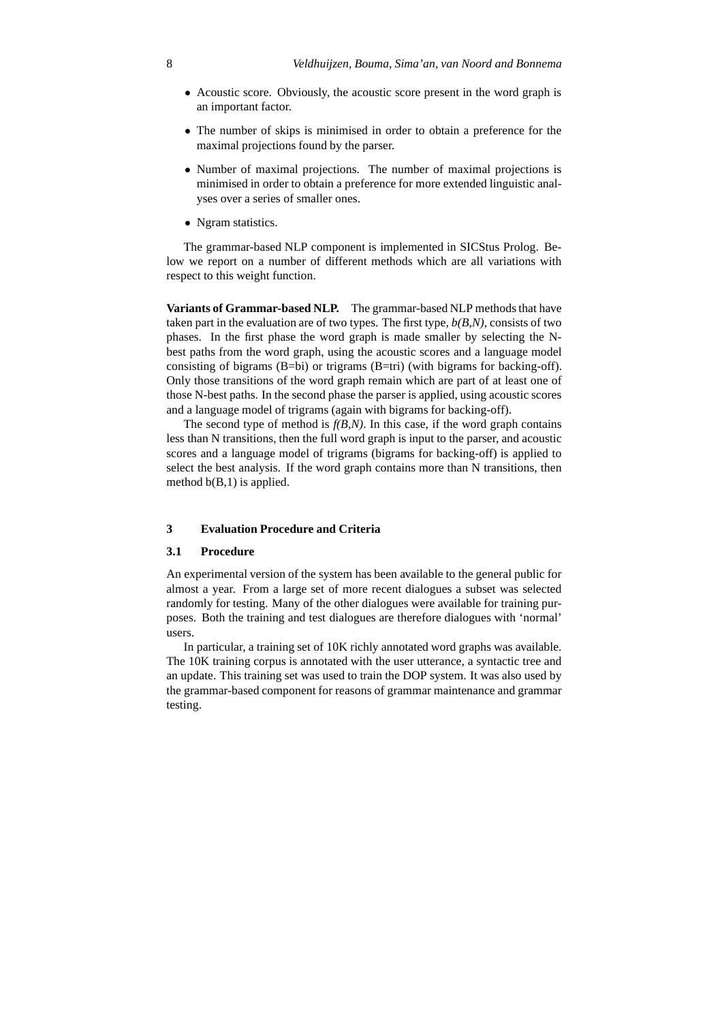- Acoustic score. Obviously, the acoustic score present in the word graph is an important factor.
- The number of skips is minimised in order to obtain a preference for the maximal projections found by the parser.
- Number of maximal projections. The number of maximal projections is minimised in order to obtain a preference for more extended linguistic analyses over a series of smaller ones.
- Ngram statistics.

The grammar-based NLP component is implemented in SICStus Prolog. Below we report on a number of different methods which are all variations with respect to this weight function.

**Variants of Grammar-based NLP.** The grammar-based NLP methodsthat have taken part in the evaluation are of two types. The first type, *b(B,N)*, consists of two phases. In the first phase the word graph is made smaller by selecting the Nbest paths from the word graph, using the acoustic scores and a language model consisting of bigrams  $(B=bi)$  or trigrams  $(B=tri)$  (with bigrams for backing-off). Only those transitions of the word graph remain which are part of at least one of those N-best paths. In the second phase the parser is applied, using acoustic scores and a language model of trigrams (again with bigrams for backing-off).

The second type of method is  $f(B,N)$ . In this case, if the word graph contains less than N transitions, then the full word graph is input to the parser, and acoustic scores and a language model of trigrams (bigrams for backing-off) is applied to select the best analysis. If the word graph contains more than N transitions, then method  $b(B,1)$  is applied.

# **3 Evaluation Procedure and Criteria**

### **3.1 Procedure**

An experimental version of the system has been available to the general public for almost a year. From a large set of more recent dialogues a subset was selected randomly for testing. Many of the other dialogues were available for training purposes. Both the training and test dialogues are therefore dialogues with 'normal' users.

In particular, a training set of 10K richly annotated word graphs was available. The 10K training corpus is annotated with the user utterance, a syntactic tree and an update. This training set was used to train the DOP system. It was also used by the grammar-based component for reasons of grammar maintenance and grammar testing.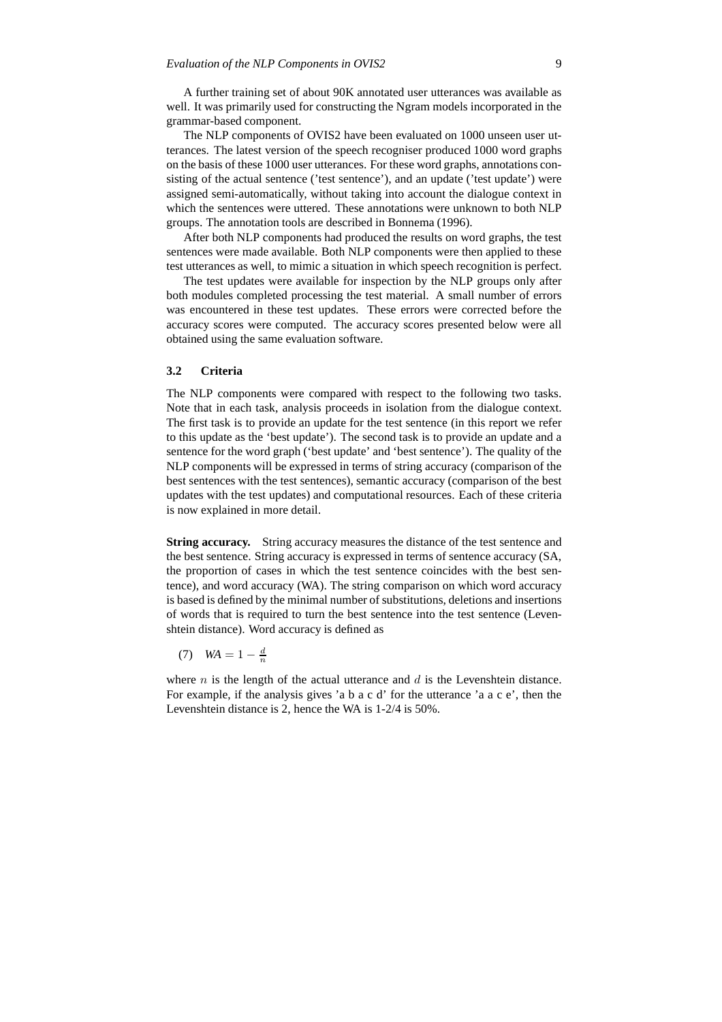A further training set of about 90K annotated user utterances was available as well. It was primarily used for constructing the Ngram models incorporated in the grammar-based component.

The NLP components of OVIS2 have been evaluated on 1000 unseen user utterances. The latest version of the speech recogniser produced 1000 word graphs on the basis of these 1000 user utterances. For these word graphs, annotations consisting of the actual sentence ('test sentence'), and an update ('test update') were assigned semi-automatically, without taking into account the dialogue context in which the sentences were uttered. These annotations were unknown to both NLP groups. The annotation tools are described in Bonnema (1996).

After both NLP components had produced the results on word graphs, the test sentences were made available. Both NLP components were then applied to these test utterances as well, to mimic a situation in which speech recognition is perfect.

The test updates were available for inspection by the NLP groups only after both modules completed processing the test material. A small number of errors was encountered in these test updates. These errors were corrected before the accuracy scores were computed. The accuracy scores presented below were all obtained using the same evaluation software.

#### **3.2 Criteria**

The NLP components were compared with respect to the following two tasks. Note that in each task, analysis proceeds in isolation from the dialogue context. The first task is to provide an update for the test sentence (in this report we refer to this update as the 'best update'). The second task is to provide an update and a sentence for the word graph ('best update' and 'best sentence'). The quality of the NLP components will be expressed in terms of string accuracy (comparison of the best sentences with the test sentences), semantic accuracy (comparison of the best updates with the test updates) and computational resources. Each of these criteria is now explained in more detail.

**String accuracy.** String accuracy measures the distance of the test sentence and the best sentence. String accuracy is expressed in terms of sentence accuracy (SA, the proportion of cases in which the test sentence coincides with the best sentence), and word accuracy (WA). The string comparison on which word accuracy is based is defined by the minimal number of substitutions, deletions and insertions of words that is required to turn the best sentence into the test sentence (Levenshtein distance). Word accuracy is defined as

(7) *WA* =  $1 - \frac{d}{n}$ 

where  $n$  is the length of the actual utterance and  $d$  is the Levenshtein distance. For example, if the analysis gives 'a b a c d' for the utterance 'a a c e', then the Levenshtein distance is 2, hence the WA is 1-2/4 is 50%.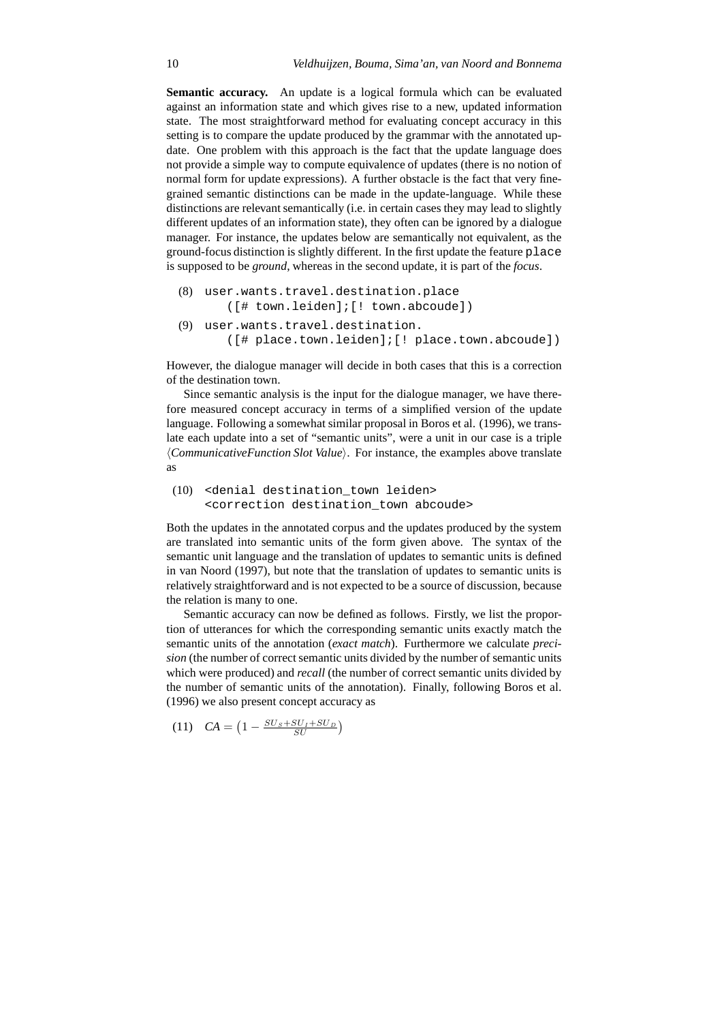**Semantic accuracy.** An update is a logical formula which can be evaluated against an information state and which gives rise to a new, updated information state. The most straightforward method for evaluating concept accuracy in this setting is to compare the update produced by the grammar with the annotated update. One problem with this approach is the fact that the update language does not provide a simple way to compute equivalence of updates (there is no notion of normal form for update expressions). A further obstacle is the fact that very finegrained semantic distinctions can be made in the update-language. While these distinctions are relevant semantically (i.e. in certain cases they may lead to slightly different updates of an information state), they often can be ignored by a dialogue manager. For instance, the updates below are semantically not equivalent, as the ground-focus distinction is slightly different. In the first update the feature place is supposed to be *ground*, whereas in the second update, it is part of the *focus*.

```
(8) user.wants.travel.destination.place
       ([# town.leiden];[! town.abcoude])
(9) user.wants.travel.destination.
       ([# place.town.leiden];[! place.town.abcoude])
```
However, the dialogue manager will decide in both cases that this is a correction of the destination town.

Since semantic analysis is the input for the dialogue manager, we have therefore measured concept accuracy in terms of a simplified version of the update language. Following a somewhat similar proposal in Boros et al. (1996), we translate each update into a set of "semantic units", were a unit in our case is a triple *(CommunicativeFunction Slot Value)*. For instance, the examples above translate as

(10) <denial destination\_town leiden> <correction destination\_town abcoude>

Both the updates in the annotated corpus and the updates produced by the system are translated into semantic units of the form given above. The syntax of the semantic unit language and the translation of updates to semantic units is defined in van Noord (1997), but note that the translation of updates to semantic units is relatively straightforward and is not expected to be a source of discussion, because the relation is many to one.

Semantic accuracy can now be defined as follows. Firstly, we list the proportion of utterances for which the corresponding semantic units exactly match the semantic units of the annotation (*exact match*). Furthermore we calculate *precision* (the number of correct semantic units divided by the number of semantic units which were produced) and *recall* (the number of correct semantic units divided by the number of semantic units of the annotation). Finally, following Boros et al. (1996) we also present concept accuracy as

$$
(11) \quad CA = \left(1 - \frac{S U_S + S U_I + S U_D}{S U}\right)
$$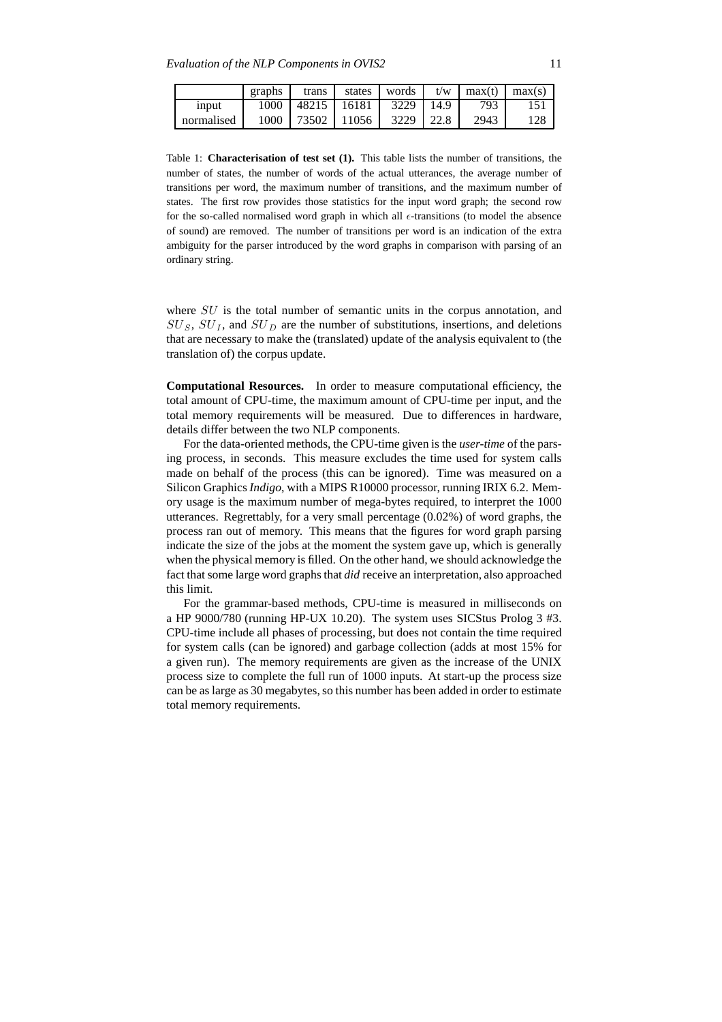|            | graphs | trans                | states | words         | $t/w$   max(t)   max(s) |     |
|------------|--------|----------------------|--------|---------------|-------------------------|-----|
| input      | 1000   | 48215 16181          |        | 3229   14.9   | 793                     |     |
| normalised |        | 1000   73502   11056 |        | $3229$   22.8 | 2943                    | 128 |

Table 1: **Characterisation of test set (1).** This table lists the number of transitions, the number of states, the number of words of the actual utterances, the average number of transitions per word, the maximum number of transitions, and the maximum number of states. The first row provides those statistics for the input word graph; the second row for the so-called normalised word graph in which all  $\epsilon$ -transitions (to model the absence of sound) are removed. The number of transitions per word is an indication of the extra ambiguity for the parser introduced by the word graphs in comparison with parsing of an ordinary string.

where SU is the total number of semantic units in the corpus annotation, and  $SU_s$ ,  $SU_I$ , and  $SU_D$  are the number of substitutions, insertions, and deletions that are necessary to make the (translated) update of the analysis equivalent to (the translation of) the corpus update.

**Computational Resources.** In order to measure computational efficiency, the total amount of CPU-time, the maximum amount of CPU-time per input, and the total memory requirements will be measured. Due to differences in hardware, details differ between the two NLP components.

For the data-oriented methods, the CPU-time given is the *user-time* of the parsing process, in seconds. This measure excludes the time used for system calls made on behalf of the process (this can be ignored). Time was measured on a Silicon Graphics *Indigo*, with a MIPS R10000 processor, running IRIX 6.2. Memory usage is the maximum number of mega-bytes required, to interpret the 1000 utterances. Regrettably, for a very small percentage (0.02%) of word graphs, the process ran out of memory. This means that the figures for word graph parsing indicate the size of the jobs at the moment the system gave up, which is generally when the physical memory is filled. On the other hand, we should acknowledge the fact that some large word graphs that *did* receive an interpretation, also approached this limit.

For the grammar-based methods, CPU-time is measured in milliseconds on a HP 9000/780 (running HP-UX 10.20). The system uses SICStus Prolog 3 #3. CPU-time include all phases of processing, but does not contain the time required for system calls (can be ignored) and garbage collection (adds at most 15% for a given run). The memory requirements are given as the increase of the UNIX process size to complete the full run of 1000 inputs. At start-up the process size can be as large as 30 megabytes, so this number has been added in order to estimate total memory requirements.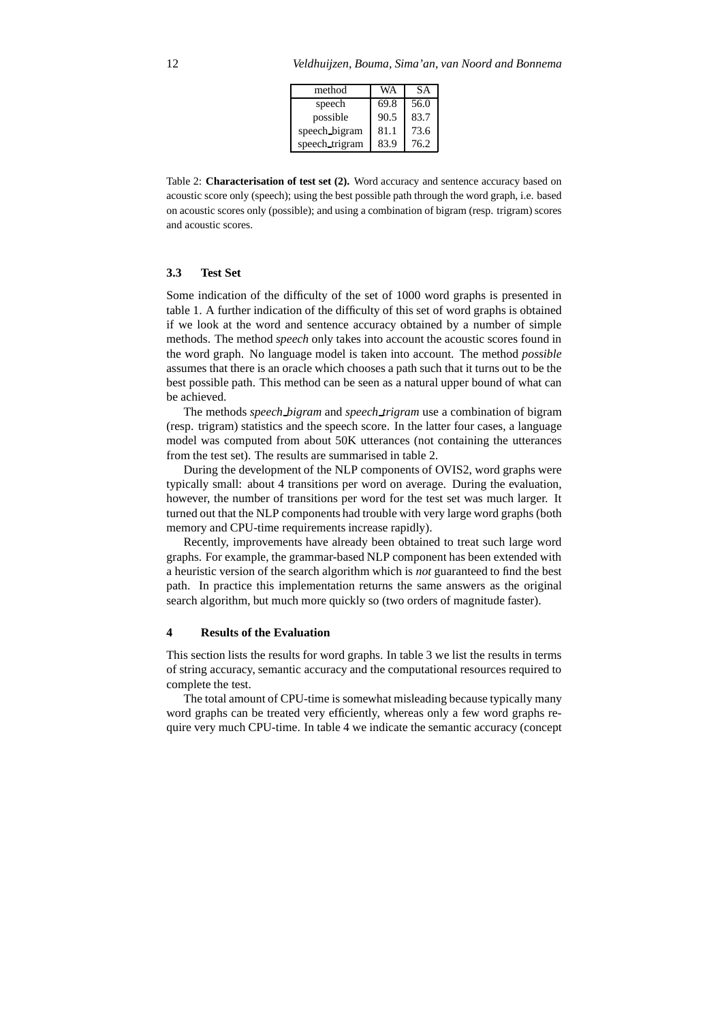| method         | WA   | SA   |
|----------------|------|------|
| speech         | 69.8 | 56.0 |
| possible       | 90.5 | 83.7 |
| speech bigram  | 81.1 | 73.6 |
| speech trigram | 83.9 | 76.2 |

Table 2: **Characterisation of test set (2).** Word accuracy and sentence accuracy based on acoustic score only (speech); using the best possible path through the word graph, i.e. based on acoustic scores only (possible); and using a combination of bigram (resp. trigram) scores and acoustic scores.

## **3.3 Test Set**

Some indication of the difficulty of the set of 1000 word graphs is presented in table 1. A further indication of the difficulty of this set of word graphs is obtained if we look at the word and sentence accuracy obtained by a number of simple methods. The method *speech* only takes into account the acoustic scores found in the word graph. No language model is taken into account. The method *possible* assumes that there is an oracle which chooses a path such that it turns out to be the best possible path. This method can be seen as a natural upper bound of what can be achieved.

The methods *speech bigram* and *speech trigram* use a combination of bigram (resp. trigram) statistics and the speech score. In the latter four cases, a language model was computed from about 50K utterances (not containing the utterances from the test set). The results are summarised in table 2.

During the development of the NLP components of OVIS2, word graphs were typically small: about 4 transitions per word on average. During the evaluation, however, the number of transitions per word for the test set was much larger. It turned out that the NLP components had trouble with very large word graphs (both memory and CPU-time requirements increase rapidly).

Recently, improvements have already been obtained to treat such large word graphs. For example, the grammar-based NLP component has been extended with a heuristic version of the search algorithm which is *not* guaranteed to find the best path. In practice this implementation returns the same answers as the original search algorithm, but much more quickly so (two orders of magnitude faster).

#### **4 Results of the Evaluation**

This section lists the results for word graphs. In table 3 we list the results in terms of string accuracy, semantic accuracy and the computational resources required to complete the test.

The total amount of CPU-time is somewhat misleading because typically many word graphs can be treated very efficiently, whereas only a few word graphs require very much CPU-time. In table 4 we indicate the semantic accuracy (concept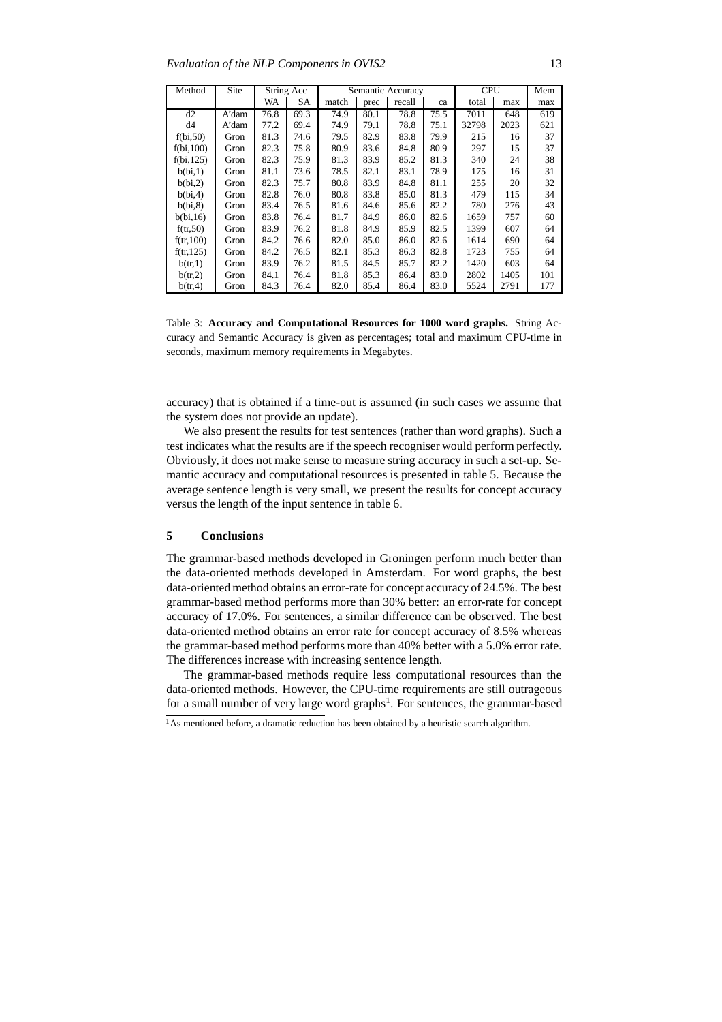| Method     | <b>Site</b> |      | String Acc |       |      | Semantic Accuracy |      |       | <b>CPU</b> |     |  |
|------------|-------------|------|------------|-------|------|-------------------|------|-------|------------|-----|--|
|            |             | WA   | SA         | match | prec | recall            | ca   | total | max        | max |  |
| d2         | A'dam       | 76.8 | 69.3       | 74.9  | 80.1 | 78.8              | 75.5 | 7011  | 648        | 619 |  |
| d4         | A'dam       | 77.2 | 69.4       | 74.9  | 79.1 | 78.8              | 75.1 | 32798 | 2023       | 621 |  |
| f(bi, 50)  | Gron        | 81.3 | 74.6       | 79.5  | 82.9 | 83.8              | 79.9 | 215   | 16         | 37  |  |
| f(bi, 100) | Gron        | 82.3 | 75.8       | 80.9  | 83.6 | 84.8              | 80.9 | 297   | 15         | 37  |  |
| f(bi, 125) | Gron        | 82.3 | 75.9       | 81.3  | 83.9 | 85.2              | 81.3 | 340   | 24         | 38  |  |
| b(bi,1)    | Gron        | 81.1 | 73.6       | 78.5  | 82.1 | 83.1              | 78.9 | 175   | 16         | 31  |  |
| b(bi,2)    | Gron        | 82.3 | 75.7       | 80.8  | 83.9 | 84.8              | 81.1 | 255   | 20         | 32  |  |
| b(bi,4)    | Gron        | 82.8 | 76.0       | 80.8  | 83.8 | 85.0              | 81.3 | 479   | 115        | 34  |  |
| b(bi,8)    | Gron        | 83.4 | 76.5       | 81.6  | 84.6 | 85.6              | 82.2 | 780   | 276        | 43  |  |
| b(bi, 16)  | Gron        | 83.8 | 76.4       | 81.7  | 84.9 | 86.0              | 82.6 | 1659  | 757        | 60  |  |
| f(tr, 50)  | Gron        | 83.9 | 76.2       | 81.8  | 84.9 | 85.9              | 82.5 | 1399  | 607        | 64  |  |
| f(tr, 100) | Gron        | 84.2 | 76.6       | 82.0  | 85.0 | 86.0              | 82.6 | 1614  | 690        | 64  |  |
| f(tr, 125) | Gron        | 84.2 | 76.5       | 82.1  | 85.3 | 86.3              | 82.8 | 1723  | 755        | 64  |  |
| b(tr, 1)   | Gron        | 83.9 | 76.2       | 81.5  | 84.5 | 85.7              | 82.2 | 1420  | 603        | 64  |  |
| b(tr, 2)   | Gron        | 84.1 | 76.4       | 81.8  | 85.3 | 86.4              | 83.0 | 2802  | 1405       | 101 |  |
| b(tr, 4)   | Gron        | 84.3 | 76.4       | 82.0  | 85.4 | 86.4              | 83.0 | 5524  | 2791       | 177 |  |

Table 3: **Accuracy and Computational Resources for 1000 word graphs.** String Accuracy and Semantic Accuracy is given as percentages; total and maximum CPU-time in seconds, maximum memory requirements in Megabytes.

accuracy) that is obtained if a time-out is assumed (in such cases we assume that the system does not provide an update).

We also present the results for test sentences (rather than word graphs). Such a test indicates what the results are if the speech recogniser would perform perfectly. Obviously, it does not make sense to measure string accuracy in such a set-up. Semantic accuracy and computational resources is presented in table 5. Because the average sentence length is very small, we present the results for concept accuracy versus the length of the input sentence in table 6.

#### **5 Conclusions**

The grammar-based methods developed in Groningen perform much better than the data-oriented methods developed in Amsterdam. For word graphs, the best data-oriented method obtains an error-rate for concept accuracy of 24.5%. The best grammar-based method performs more than 30% better: an error-rate for concept accuracy of 17.0%. For sentences, a similar difference can be observed. The best data-oriented method obtains an error rate for concept accuracy of 8.5% whereas the grammar-based method performs more than 40% better with a 5.0% error rate. The differences increase with increasing sentence length.

The grammar-based methods require less computational resources than the data-oriented methods. However, the CPU-time requirements are still outrageous for a small number of very large word graphs<sup>1</sup>. For sentences, the grammar-based

<sup>&</sup>lt;sup>1</sup>As mentioned before, a dramatic reduction has been obtained by a heuristic search algorithm.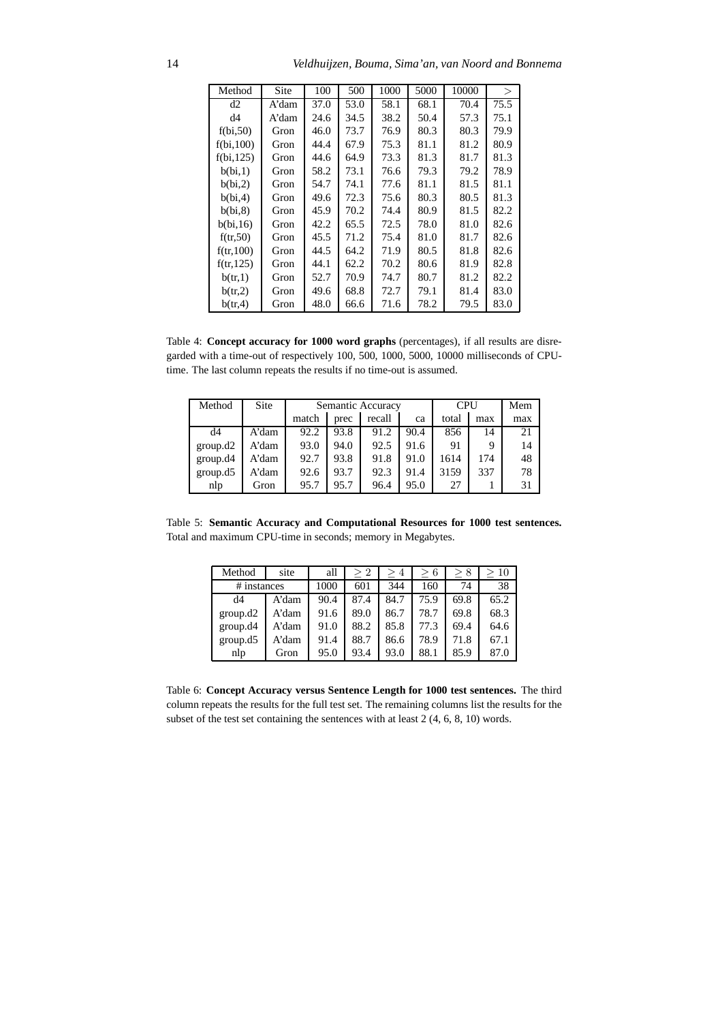14 *Veldhuijzen, Bouma, Sima'an, van Noord and Bonnema*

| Method     | Site  | 100  | 500  | 1000 | 5000 | 10000 | $\rm{>}$ |
|------------|-------|------|------|------|------|-------|----------|
| d2         | A'dam | 37.0 | 53.0 | 58.1 | 68.1 | 70.4  | 75.5     |
| d4         | A'dam | 24.6 | 34.5 | 38.2 | 50.4 | 57.3  | 75.1     |
| f(bi, 50)  | Gron  | 46.0 | 73.7 | 76.9 | 80.3 | 80.3  | 79.9     |
| f(bi, 100) | Gron  | 44.4 | 67.9 | 75.3 | 81.1 | 81.2  | 80.9     |
| f(bi, 125) | Gron  | 44.6 | 64.9 | 73.3 | 81.3 | 81.7  | 81.3     |
| b(bi,1)    | Gron  | 58.2 | 73.1 | 76.6 | 79.3 | 79.2  | 78.9     |
| b(bi,2)    | Gron  | 54.7 | 74.1 | 77.6 | 81.1 | 81.5  | 81.1     |
| b(bi,4)    | Gron  | 49.6 | 72.3 | 75.6 | 80.3 | 80.5  | 81.3     |
| b(bi,8)    | Gron  | 45.9 | 70.2 | 74.4 | 80.9 | 81.5  | 82.2     |
| b(bi, 16)  | Gron  | 42.2 | 65.5 | 72.5 | 78.0 | 81.0  | 82.6     |
| f(tr, 50)  | Gron  | 45.5 | 71.2 | 75.4 | 81.0 | 81.7  | 82.6     |
| f(tr, 100) | Gron  | 44.5 | 64.2 | 71.9 | 80.5 | 81.8  | 82.6     |
| f(tr, 125) | Gron  | 44.1 | 62.2 | 70.2 | 80.6 | 81.9  | 82.8     |
| b(tr, 1)   | Gron  | 52.7 | 70.9 | 74.7 | 80.7 | 81.2  | 82.2     |
| b(tr, 2)   | Gron  | 49.6 | 68.8 | 72.7 | 79.1 | 81.4  | 83.0     |
| b(tr, 4)   | Gron  | 48.0 | 66.6 | 71.6 | 78.2 | 79.5  | 83.0     |

Table 4: **Concept accuracy for 1000 word graphs** (percentages), if all results are disregarded with a time-out of respectively 100, 500, 1000, 5000, 10000 milliseconds of CPUtime. The last column repeats the results if no time-out is assumed.

| Method   | <b>Site</b> |       | Semantic Accuracy | <b>CPU</b> | Mem  |       |     |     |
|----------|-------------|-------|-------------------|------------|------|-------|-----|-----|
|          |             | match | prec              | recall     | ca   | total | max | max |
| d4       | A'dam       | 92.2  | 93.8              | 91.2       | 90.4 | 856   | 14  | 21  |
| group.d2 | A'dam       | 93.0  | 94.0              | 92.5       | 91.6 | 91    | 9   | 14  |
| group.d4 | A'dam       | 92.7  | 93.8              | 91.8       | 91.0 | 1614  | 174 | 48  |
| group.d5 | A'dam       | 92.6  | 93.7              | 92.3       | 91.4 | 3159  | 337 | 78  |
| nlp      | Gron        | 95.7  | 95.7              | 96.4       | 95.0 | 27    |     | 31  |

Table 5: **Semantic Accuracy and Computational Resources for 1000 test sentences.** Total and maximum CPU-time in seconds; memory in Megabytes.

| Method      | site  | all  | $\geq 2$ | 4    | 6    |      | >10  |
|-------------|-------|------|----------|------|------|------|------|
| # instances |       | 1000 | 601      | 344  | 160  | 74   | 38   |
| d4          | A'dam | 90.4 | 87.4     | 84.7 | 75.9 | 69.8 | 65.2 |
| group.d2    | A'dam | 91.6 | 89.0     | 86.7 | 78.7 | 69.8 | 68.3 |
| group.d4    | A'dam | 91.0 | 88.2     | 85.8 | 77.3 | 69.4 | 64.6 |
| group.d5    | A'dam | 91.4 | 88.7     | 86.6 | 78.9 | 71.8 | 67.1 |
| nlp         | Gron  | 95.0 | 93.4     | 93.0 | 88.1 | 85.9 | 87.0 |

Table 6: **Concept Accuracy versus Sentence Length for 1000 test sentences.** The third column repeats the results for the full test set. The remaining columns list the results for the subset of the test set containing the sentences with at least 2 (4, 6, 8, 10) words.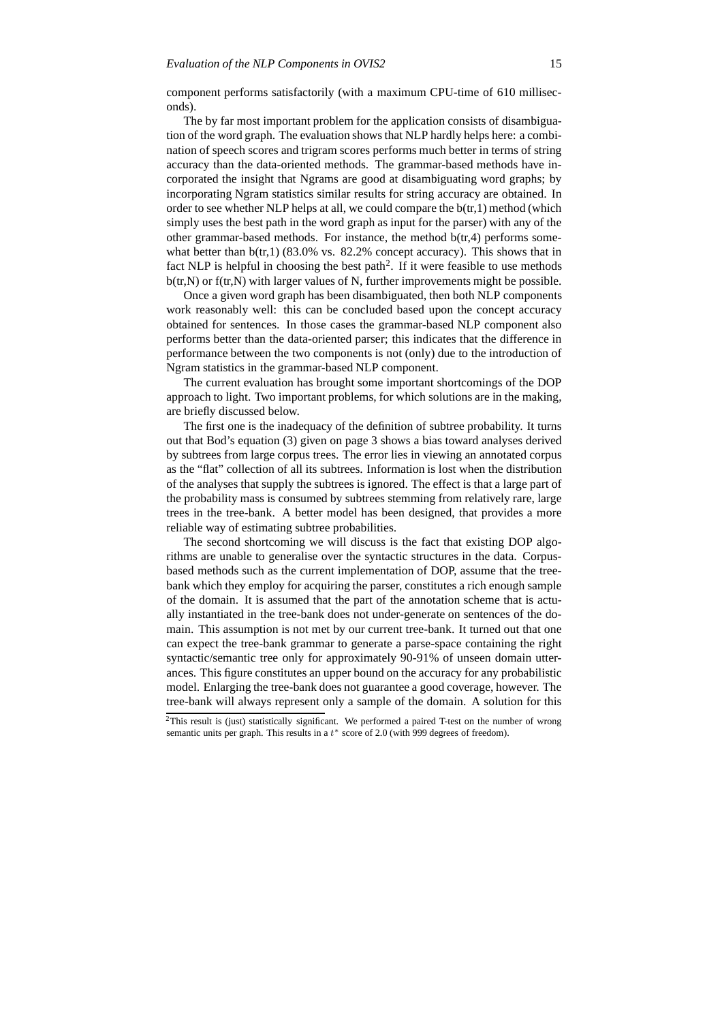component performs satisfactorily (with a maximum CPU-time of 610 milliseconds).

The by far most important problem for the application consists of disambiguation of the word graph. The evaluation shows that NLP hardly helps here: a combination of speech scores and trigram scores performs much better in terms of string accuracy than the data-oriented methods. The grammar-based methods have incorporated the insight that Ngrams are good at disambiguating word graphs; by incorporating Ngram statistics similar results for string accuracy are obtained. In order to see whether NLP helps at all, we could compare the b(tr,1) method (which simply uses the best path in the word graph as input for the parser) with any of the other grammar-based methods. For instance, the method b(tr,4) performs somewhat better than  $b$ (tr,1) (83.0% vs. 82.2% concept accuracy). This shows that in fact NLP is helpful in choosing the best path<sup>2</sup>. If it were feasible to use methods b(tr,N) or f(tr,N) with larger values of N, further improvements might be possible.

Once a given word graph has been disambiguated, then both NLP components work reasonably well: this can be concluded based upon the concept accuracy obtained for sentences. In those cases the grammar-based NLP component also performs better than the data-oriented parser; this indicates that the difference in performance between the two components is not (only) due to the introduction of Ngram statistics in the grammar-based NLP component.

The current evaluation has brought some important shortcomings of the DOP approach to light. Two important problems, for which solutions are in the making, are briefly discussed below.

The first one is the inadequacy of the definition of subtree probability. It turns out that Bod's equation (3) given on page 3 shows a bias toward analyses derived by subtrees from large corpus trees. The error lies in viewing an annotated corpus as the "flat" collection of all its subtrees. Information is lost when the distribution of the analyses that supply the subtrees is ignored. The effect is that a large part of the probability mass is consumed by subtrees stemming from relatively rare, large trees in the tree-bank. A better model has been designed, that provides a more reliable way of estimating subtree probabilities.

The second shortcoming we will discuss is the fact that existing DOP algorithms are unable to generalise over the syntactic structures in the data. Corpusbased methods such as the current implementation of DOP, assume that the treebank which they employ for acquiring the parser, constitutes a rich enough sample of the domain. It is assumed that the part of the annotation scheme that is actually instantiated in the tree-bank does not under-generate on sentences of the domain. This assumption is not met by our current tree-bank. It turned out that one can expect the tree-bank grammar to generate a parse-space containing the right syntactic/semantic tree only for approximately 90-91% of unseen domain utterances. This figure constitutes an upper bound on the accuracy for any probabilistic model. Enlarging the tree-bank does not guarantee a good coverage, however. The tree-bank will always represent only a sample of the domain. A solution for this

<sup>&</sup>lt;sup>2</sup>This result is (just) statistically significant. We performed a paired T-test on the number of wrong semantic units per graph. This results in a  $t^*$  score of 2.0 (with 999 degrees of freedom).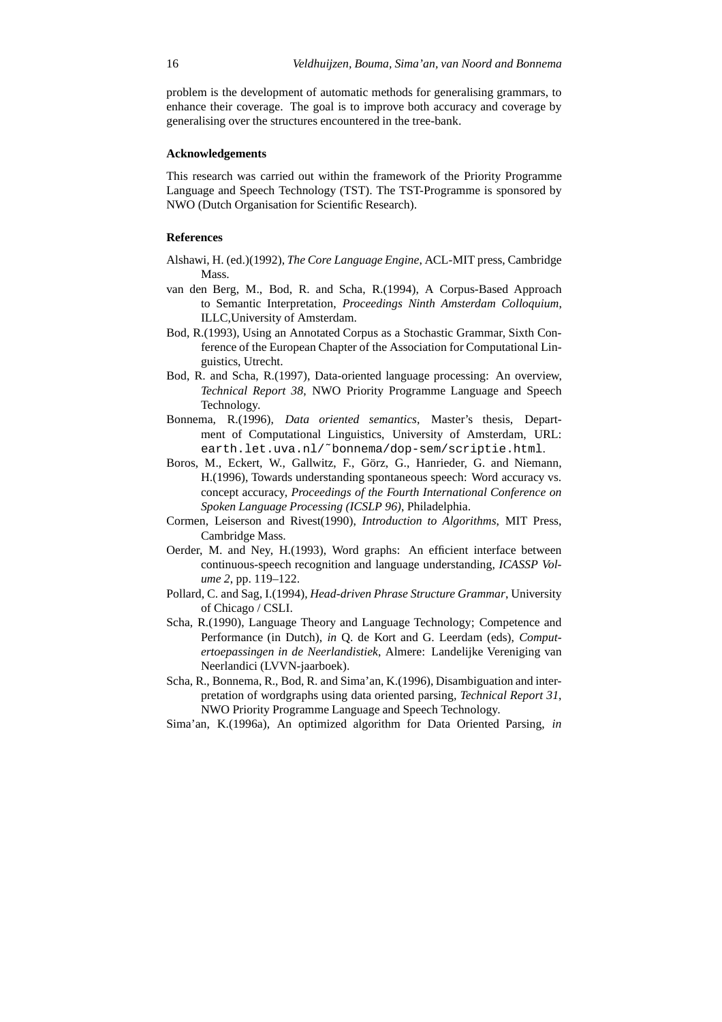problem is the development of automatic methods for generalising grammars, to enhance their coverage. The goal is to improve both accuracy and coverage by generalising over the structures encountered in the tree-bank.

## **Acknowledgements**

This research was carried out within the framework of the Priority Programme Language and Speech Technology (TST). The TST-Programme is sponsored by NWO (Dutch Organisation for Scientific Research).

#### **References**

- Alshawi, H. (ed.)(1992), *The Core Language Engine*, ACL-MIT press, Cambridge Mass.
- van den Berg, M., Bod, R. and Scha, R.(1994), A Corpus-Based Approach to Semantic Interpretation, *Proceedings Ninth Amsterdam Colloquium*, ILLC,University of Amsterdam.
- Bod, R.(1993), Using an Annotated Corpus as a Stochastic Grammar, Sixth Conference of the European Chapter of the Association for Computational Linguistics, Utrecht.
- Bod, R. and Scha, R.(1997), Data-oriented language processing: An overview, *Technical Report 38*, NWO Priority Programme Language and Speech Technology.
- Bonnema, R.(1996), *Data oriented semantics*, Master's thesis, Department of Computational Linguistics, University of Amsterdam, URL: earth.let.uva.nl/˜bonnema/dop-sem/scriptie.html.
- Boros, M., Eckert, W., Gallwitz, F., Görz, G., Hanrieder, G. and Niemann, H.(1996), Towards understanding spontaneous speech: Word accuracy vs. concept accuracy, *Proceedings of the Fourth International Conference on Spoken Language Processing (ICSLP 96)*, Philadelphia.
- Cormen, Leiserson and Rivest(1990), *Introduction to Algorithms*, MIT Press, Cambridge Mass.
- Oerder, M. and Ney, H.(1993), Word graphs: An efficient interface between continuous-speech recognition and language understanding, *ICASSP Volume 2*, pp. 119–122.
- Pollard, C. and Sag, I.(1994), *Head-driven Phrase Structure Grammar*, University of Chicago / CSLI.
- Scha, R.(1990), Language Theory and Language Technology; Competence and Performance (in Dutch), *in* Q. de Kort and G. Leerdam (eds), *Computertoepassingen in de Neerlandistiek*, Almere: Landelijke Vereniging van Neerlandici (LVVN-jaarboek).
- Scha, R., Bonnema, R., Bod, R. and Sima'an, K.(1996), Disambiguation and interpretation of wordgraphs using data oriented parsing, *Technical Report 31*, NWO Priority Programme Language and Speech Technology.
- Sima'an, K.(1996a), An optimized algorithm for Data Oriented Parsing, *in*